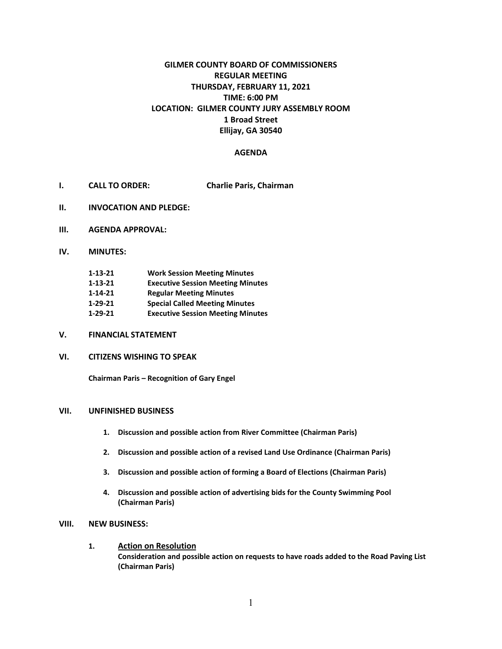# **GILMER COUNTY BOARD OF COMMISSIONERS REGULAR MEETING THURSDAY, FEBRUARY 11, 2021 TIME: 6:00 PM LOCATION: GILMER COUNTY JURY ASSEMBLY ROOM 1 Broad Street Ellijay, GA 30540**

## **AGENDA**

- **I. CALL TO ORDER: Charlie Paris, Chairman**
- **II. INVOCATION AND PLEDGE:**
- **III. AGENDA APPROVAL:**
- **IV. MINUTES:**

| $1 - 13 - 21$ | <b>Work Session Meeting Minutes</b>      |
|---------------|------------------------------------------|
| $1 - 13 - 21$ | <b>Executive Session Meeting Minutes</b> |
| $1 - 14 - 21$ | <b>Regular Meeting Minutes</b>           |
| $1 - 29 - 21$ | <b>Special Called Meeting Minutes</b>    |
| $1 - 29 - 21$ | <b>Executive Session Meeting Minutes</b> |

- **V. FINANCIAL STATEMENT**
- **VI. CITIZENS WISHING TO SPEAK**

**Chairman Paris – Recognition of Gary Engel**

## **VII. UNFINISHED BUSINESS**

- **1. Discussion and possible action from River Committee (Chairman Paris)**
- **2. Discussion and possible action of a revised Land Use Ordinance (Chairman Paris)**
- **3. Discussion and possible action of forming a Board of Elections (Chairman Paris)**
- **4. Discussion and possible action of advertising bids for the County Swimming Pool (Chairman Paris)**

#### **VIII. NEW BUSINESS:**

**1. Action on Resolution Consideration and possible action on requests to have roads added to the Road Paving List (Chairman Paris)**